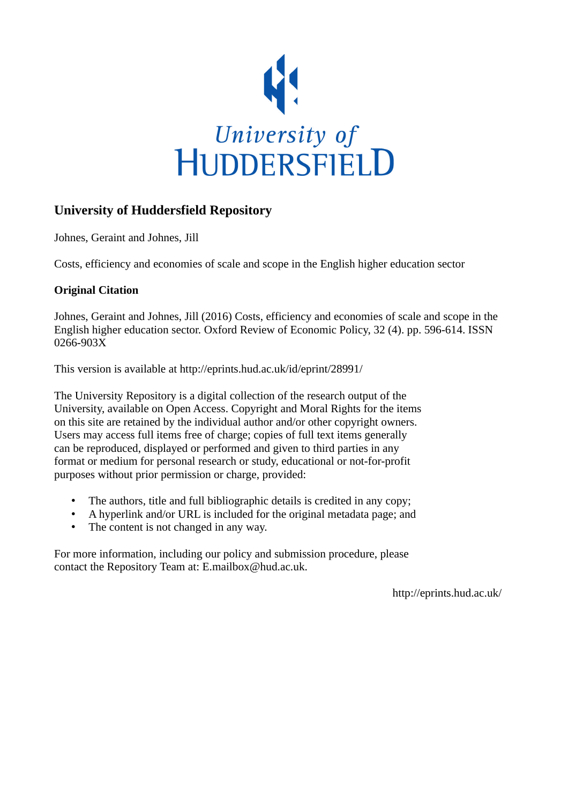

# **University of Huddersfield Repository**

Johnes, Geraint and Johnes, Jill

Costs, efficiency and economies of scale and scope in the English higher education sector

# **Original Citation**

Johnes, Geraint and Johnes, Jill (2016) Costs, efficiency and economies of scale and scope in the English higher education sector. Oxford Review of Economic Policy, 32 (4). pp. 596-614. ISSN 0266-903X

This version is available at http://eprints.hud.ac.uk/id/eprint/28991/

The University Repository is a digital collection of the research output of the University, available on Open Access. Copyright and Moral Rights for the items on this site are retained by the individual author and/or other copyright owners. Users may access full items free of charge; copies of full text items generally can be reproduced, displayed or performed and given to third parties in any format or medium for personal research or study, educational or not-for-profit purposes without prior permission or charge, provided:

- The authors, title and full bibliographic details is credited in any copy;
- A hyperlink and/or URL is included for the original metadata page; and
- The content is not changed in any way.

For more information, including our policy and submission procedure, please contact the Repository Team at: E.mailbox@hud.ac.uk.

http://eprints.hud.ac.uk/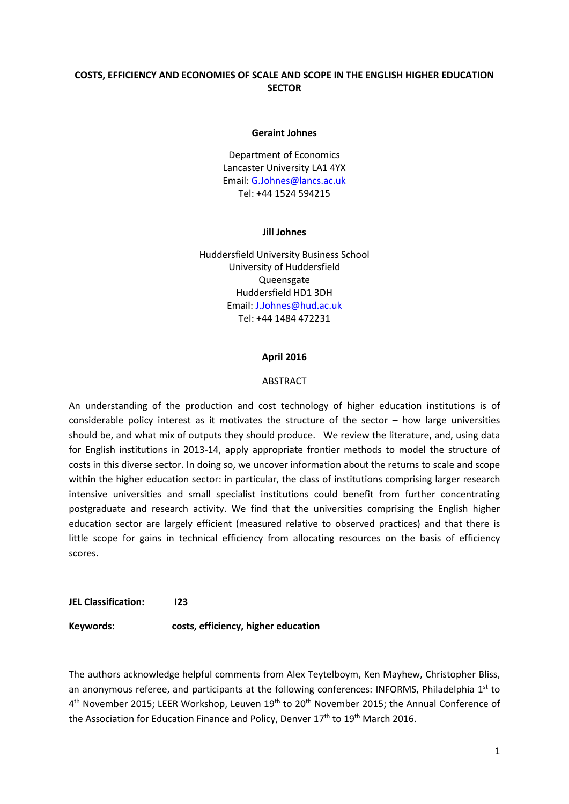## **COSTS, EFFICIENCY AND ECONOMIES OF SCALE AND SCOPE IN THE ENGLISH HIGHER EDUCATION SECTOR**

#### **Geraint Johnes**

Department of Economics Lancaster University LA1 4YX Email: [G.Johnes@lancs.ac.uk](mailto:G.Johnes@lancs.ac.uk) Tel: +44 1524 594215

#### **Jill Johnes**

Huddersfield University Business School University of Huddersfield Queensgate Huddersfield HD1 3DH Email[: J.Johnes@hud.ac.uk](mailto:J.Johnes@hud.ac.uk) Tel: +44 1484 472231

### **April 2016**

### ABSTRACT

An understanding of the production and cost technology of higher education institutions is of considerable policy interest as it motivates the structure of the sector – how large universities should be, and what mix of outputs they should produce. We review the literature, and, using data for English institutions in 2013-14, apply appropriate frontier methods to model the structure of costs in this diverse sector. In doing so, we uncover information about the returns to scale and scope within the higher education sector: in particular, the class of institutions comprising larger research intensive universities and small specialist institutions could benefit from further concentrating postgraduate and research activity. We find that the universities comprising the English higher education sector are largely efficient (measured relative to observed practices) and that there is little scope for gains in technical efficiency from allocating resources on the basis of efficiency scores.

**JEL Classification: I23**

**Keywords: costs, efficiency, higher education**

The authors acknowledge helpful comments from Alex Teytelboym, Ken Mayhew, Christopher Bliss, an anonymous referee, and participants at the following conferences: INFORMS, Philadelphia 1<sup>st</sup> to 4<sup>th</sup> November 2015; LEER Workshop, Leuven 19<sup>th</sup> to 20<sup>th</sup> November 2015; the Annual Conference of the Association for Education Finance and Policy, Denver  $17<sup>th</sup>$  to  $19<sup>th</sup>$  March 2016.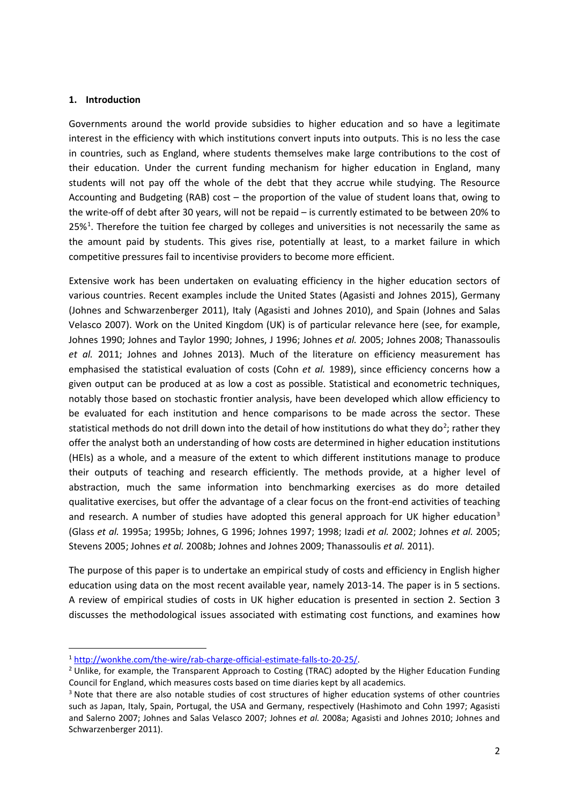## **1. Introduction**

Governments around the world provide subsidies to higher education and so have a legitimate interest in the efficiency with which institutions convert inputs into outputs. This is no less the case in countries, such as England, where students themselves make large contributions to the cost of their education. Under the current funding mechanism for higher education in England, many students will not pay off the whole of the debt that they accrue while studying. The Resource Accounting and Budgeting (RAB) cost – the proportion of the value of student loans that, owing to the write-off of debt after 30 years, will not be repaid – is currently estimated to be between 20% to  $25\%$ <sup>[1](#page-2-0)</sup>. Therefore the tuition fee charged by colleges and universities is not necessarily the same as the amount paid by students. This gives rise, potentially at least, to a market failure in which competitive pressures fail to incentivise providers to become more efficient.

Extensive work has been undertaken on evaluating efficiency in the higher education sectors of various countries. Recent examples include the United States [\(Agasisti and Johnes 2015\)](#page-22-0), Germany [\(Johnes and Schwarzenberger 2011\)](#page-23-0), Italy [\(Agasisti and Johnes 2010\)](#page-22-1), and Spain [\(Johnes and Salas](#page-23-1)  [Velasco 2007\)](#page-23-1). Work on the United Kingdom (UK) is of particular relevance here (see, for example, [Johnes 1990;](#page-23-2) [Johnes and Taylor 1990;](#page-23-3) [Johnes, J 1996;](#page-23-4) [Johnes](#page-23-5) *et al.* 2005; [Johnes 2008;](#page-23-6) [Thanassoulis](#page-23-7) *[et al.](#page-23-7)* 2011; [Johnes and Johnes 2013\)](#page-23-8). Much of the literature on efficiency measurement has emphasised the statistical evaluation of costs [\(Cohn](#page-22-2) *et al.* 1989), since efficiency concerns how a given output can be produced at as low a cost as possible. Statistical and econometric techniques, notably those based on stochastic frontier analysis, have been developed which allow efficiency to be evaluated for each institution and hence comparisons to be made across the sector. These statistical methods do not drill down into the detail of how institutions do what they do<sup>[2](#page-2-1)</sup>; rather they offer the analyst both an understanding of how costs are determined in higher education institutions (HEIs) as a whole, and a measure of the extent to which different institutions manage to produce their outputs of teaching and research efficiently. The methods provide, at a higher level of abstraction, much the same information into benchmarking exercises as do more detailed qualitative exercises, but offer the advantage of a clear focus on the front-end activities of teaching and research. A number of studies have adopted this general approach for UK higher education<sup>[3](#page-2-2)</sup> (Glass *et al.* [1995a;](#page-22-3) [1995b;](#page-22-4) [Johnes, G 1996;](#page-22-5) [Johnes 1997;](#page-23-9) [1998;](#page-23-10) Izadi *et al.* [2002;](#page-22-6) [Johnes](#page-23-5) *et al.* 2005; [Stevens 2005;](#page-23-11) [Johnes](#page-23-12) *et al.* 2008b[; Johnes and Johnes 2009;](#page-23-13) [Thanassoulis](#page-23-7) *et al.* 2011).

The purpose of this paper is to undertake an empirical study of costs and efficiency in English higher education using data on the most recent available year, namely 2013-14. The paper is in 5 sections. A review of empirical studies of costs in UK higher education is presented in section 2. Section 3 discusses the methodological issues associated with estimating cost functions, and examines how

<span id="page-2-1"></span><span id="page-2-0"></span> $\frac{1 \text{ http://wonkhe.com/the-wire/rab-charge-official-estimate-falls-to-20-25/}}{2 \text{ Unlike}}$ . 2 Unlike, for example, the Transparent Approach to Costing (TRAC) adopted by the Higher Education Funding Council for England, which measures costs based on time diaries kept by all academics.

<span id="page-2-2"></span><sup>&</sup>lt;sup>3</sup> Note that there are also notable studies of cost structures of higher education systems of other countries such as Japan, Italy, Spain, Portugal, the USA and Germany, respectively [\(Hashimoto and Cohn 1997;](#page-22-7) [Agasisti](#page-22-8)  [and Salerno 2007;](#page-22-8) [Johnes and Salas Velasco 2007;](#page-23-1) [Johnes](#page-23-14) *et al.* 2008a; [Agasisti and Johnes 2010;](#page-22-1) [Johnes and](#page-23-0)  [Schwarzenberger 2011\)](#page-23-0).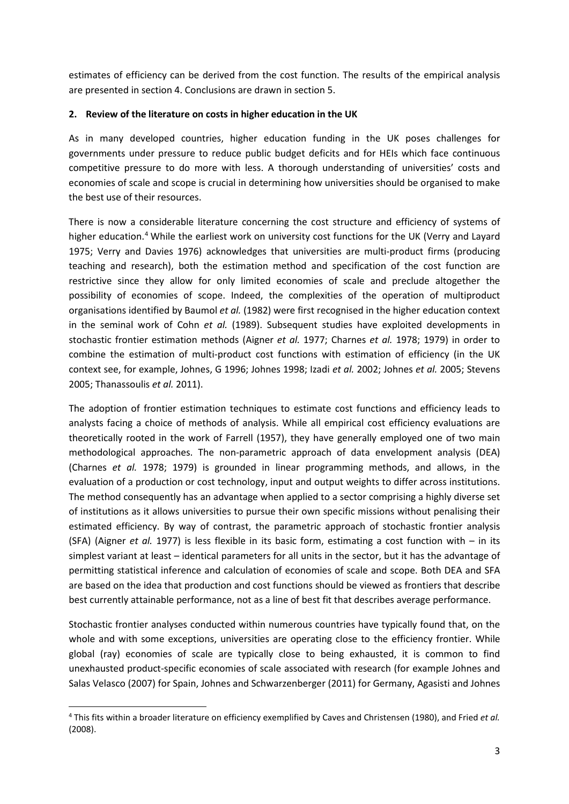estimates of efficiency can be derived from the cost function. The results of the empirical analysis are presented in section 4. Conclusions are drawn in section 5.

# **2. Review of the literature on costs in higher education in the UK**

As in many developed countries, higher education funding in the UK poses challenges for governments under pressure to reduce public budget deficits and for HEIs which face continuous competitive pressure to do more with less. A thorough understanding of universities' costs and economies of scale and scope is crucial in determining how universities should be organised to make the best use of their resources.

There is now a considerable literature concerning the cost structure and efficiency of systems of higher education.[4](#page-3-0) While the earliest work on university cost functions for the UK [\(Verry and Layard](#page-23-15)  [1975;](#page-23-15) [Verry and Davies 1976\)](#page-23-16) acknowledges that universities are multi-product firms (producing teaching and research), both the estimation method and specification of the cost function are restrictive since they allow for only limited economies of scale and preclude altogether the possibility of economies of scope. Indeed, the complexities of the operation of multiproduct organisations identified by [Baumol](#page-22-9) *et al.* (1982[\)](#page-22-9) were first recognised in the higher education context in the seminal work of Cohn *et al.* [\(1989\).](#page-22-2) Subsequent studies have exploited developments in stochastic frontier estimation methods [\(Aigner](#page-22-10) *et al.* 1977; [Charnes](#page-22-11) *et al.* 1978; [1979\)](#page-22-12) in order to combine the estimation of multi-product cost functions with estimation of efficiency (in the UK context see, for example, [Johnes, G 1996;](#page-22-5) [Johnes 1998;](#page-23-10) Izadi *et al.* [2002;](#page-22-6) [Johnes](#page-23-5) *et al.* 2005; [Stevens](#page-23-11)  [2005;](#page-23-11) [Thanassoulis](#page-23-7) *et al.* 2011).

The adoption of frontier estimation techniques to estimate cost functions and efficiency leads to analysts facing a choice of methods of analysis. While all empirical cost efficiency evaluations are theoretically rooted in the work of [Farrell \(1957\),](#page-22-13) they have generally employed one of two main methodological approaches. The non-parametric approach of data envelopment analysis (DEA) [\(Charnes](#page-22-11) *et al.* 1978; [1979\)](#page-22-12) is grounded in linear programming methods, and allows, in the evaluation of a production or cost technology, input and output weights to differ across institutions. The method consequently has an advantage when applied to a sector comprising a highly diverse set of institutions as it allows universities to pursue their own specific missions without penalising their estimated efficiency. By way of contrast, the parametric approach of stochastic frontier analysis (SFA) [\(Aigner](#page-22-10) *et al.* 1977) is less flexible in its basic form, estimating a cost function with – in its simplest variant at least – identical parameters for all units in the sector, but it has the advantage of permitting statistical inference and calculation of economies of scale and scope. Both DEA and SFA are based on the idea that production and cost functions should be viewed as frontiers that describe best currently attainable performance, not as a line of best fit that describes average performance.

Stochastic frontier analyses conducted within numerous countries have typically found that, on the whole and with some exceptions, universities are operating close to the efficiency frontier. While global (ray) economies of scale are typically close to being exhausted, it is common to find unexhausted product-specific economies of scale associated with research (for example [Johnes and](#page-23-1)  Salas Velasco (2007) for Spain, [Johnes and Schwarzenberger \(2011\)](#page-23-0) for Germany[, Agasisti and Johnes](#page-22-1) 

<span id="page-3-0"></span> <sup>4</sup> This fits within a broader literature on efficiency exemplified b[y Caves and Christensen \(1980\),](#page-22-14) and [Fried](#page-22-15) *et al.* (2008).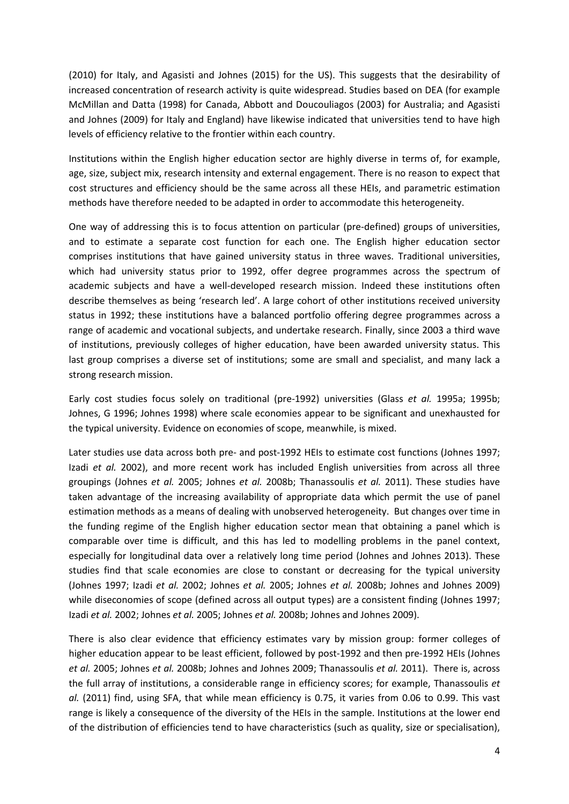(2010) for Italy, and [Agasisti and Johnes \(2015\)](#page-22-0) for the US). This suggests that the desirability of increased concentration of research activity is quite widespread. Studies based on DEA (for example [McMillan and Datta \(1998\)](#page-23-17) for Canada, [Abbott and Doucouliagos \(2003\)](#page-22-16) for Australia; and [Agasisti](#page-22-17)  and Johnes (2009) for Italy and England) have likewise indicated that universities tend to have high levels of efficiency relative to the frontier within each country.

Institutions within the English higher education sector are highly diverse in terms of, for example, age, size, subject mix, research intensity and external engagement. There is no reason to expect that cost structures and efficiency should be the same across all these HEIs, and parametric estimation methods have therefore needed to be adapted in order to accommodate this heterogeneity.

One way of addressing this is to focus attention on particular (pre-defined) groups of universities, and to estimate a separate cost function for each one. The English higher education sector comprises institutions that have gained university status in three waves. Traditional universities, which had university status prior to 1992, offer degree programmes across the spectrum of academic subjects and have a well-developed research mission. Indeed these institutions often describe themselves as being 'research led'. A large cohort of other institutions received university status in 1992; these institutions have a balanced portfolio offering degree programmes across a range of academic and vocational subjects, and undertake research. Finally, since 2003 a third wave of institutions, previously colleges of higher education, have been awarded university status. This last group comprises a diverse set of institutions; some are small and specialist, and many lack a strong research mission.

Early cost studies focus solely on traditional (pre-1992) universities (Glass *et al.* [1995a;](#page-22-3) [1995b;](#page-22-4) [Johnes, G 1996;](#page-22-5) [Johnes 1998\)](#page-23-10) where scale economies appear to be significant and unexhausted for the typical university. Evidence on economies of scope, meanwhile, is mixed.

Later studies use data across both pre- and post-1992 HEIs to estimate cost functions [\(Johnes 1997;](#page-23-9) Izadi *[et al.](#page-22-6)* 2002), and more recent work has included English universities from across all three groupings [\(Johnes](#page-23-5) *et al.* 2005; [Johnes](#page-23-12) *et al.* 2008b; [Thanassoulis](#page-23-7) *et al.* 2011). These studies have taken advantage of the increasing availability of appropriate data which permit the use of panel estimation methods as a means of dealing with unobserved heterogeneity. But changes over time in the funding regime of the English higher education sector mean that obtaining a panel which is comparable over time is difficult, and this has led to modelling problems in the panel context, especially for longitudinal data over a relatively long time period [\(Johnes and Johnes 2013\)](#page-23-8). These studies find that scale economies are close to constant or decreasing for the typical university [\(Johnes 1997;](#page-23-9) Izadi *et al.* [2002;](#page-22-6) [Johnes](#page-23-5) *et al.* 2005; [Johnes](#page-23-12) *et al.* 2008b; [Johnes and Johnes 2009\)](#page-23-13) while diseconomies of scope (defined across all output types) are a consistent finding [\(Johnes 1997;](#page-23-9) Izadi *et al.* [2002;](#page-22-6) [Johnes](#page-23-5) *et al.* 2005[; Johnes](#page-23-12) *et al.* 2008b; [Johnes and Johnes 2009\)](#page-23-13).

There is also clear evidence that efficiency estimates vary by mission group: former colleges of higher education appear to be least efficient, followed by post-1992 and then pre-1992 HEIs [\(Johnes](#page-23-5) *et al.* [2005;](#page-23-5) [Johnes](#page-23-12) *et al.* 2008b; [Johnes and Johnes 2009;](#page-23-13) [Thanassoulis](#page-23-7) *et al.* 2011). There is, across the full array of institutions, a considerable range in efficiency scores; for example, [Thanassoulis](#page-23-7) *et al.* (2011) find, using SFA, that while mean efficiency is 0.75, it varies from 0.06 to 0.99. This vast range is likely a consequence of the diversity of the HEIs in the sample. Institutions at the lower end of the distribution of efficiencies tend to have characteristics (such as quality, size or specialisation),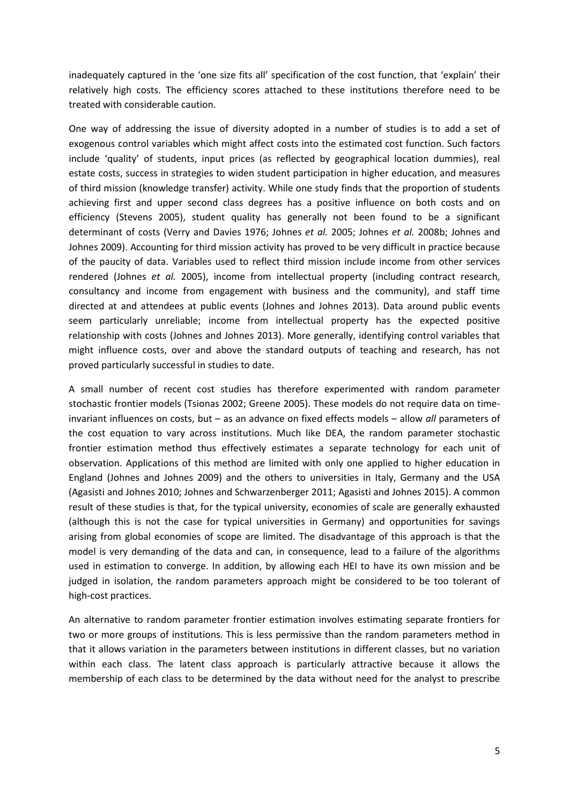inadequately captured in the 'one size fits all' specification of the cost function, that 'explain' their relatively high costs. The efficiency scores attached to these institutions therefore need to be treated with considerable caution.

One way of addressing the issue of diversity adopted in a number of studies is to add a set of exogenous control variables which might affect costs into the estimated cost function. Such factors include 'quality' of students, input prices (as reflected by geographical location dummies), real estate costs, success in strategies to widen student participation in higher education, and measures of third mission (knowledge transfer) activity. While one study finds that the proportion of students achieving first and upper second class degrees has a positive influence on both costs and on efficiency [\(Stevens 2005\)](#page-23-11), student quality has generally not been found to be a significant determinant of costs [\(Verry and Davies 1976;](#page-23-16) [Johnes](#page-23-5) *et al.* 2005; [Johnes](#page-23-12) *et al.* 2008b; [Johnes and](#page-23-13)  [Johnes 2009\)](#page-23-13). Accounting for third mission activity has proved to be very difficult in practice because of the paucity of data. Variables used to reflect third mission include income from other services rendered [\(Johnes](#page-23-5) *et al.* 2005), income from intellectual property (including contract research, consultancy and income from engagement with business and the community), and staff time directed at and attendees at public events [\(Johnes and Johnes 2013\)](#page-23-8). Data around public events seem particularly unreliable; income from intellectual property has the expected positive relationship with costs [\(Johnes and Johnes 2013\)](#page-23-8). More generally, identifying control variables that might influence costs, over and above the standard outputs of teaching and research, has not proved particularly successful in studies to date.

A small number of recent cost studies has therefore experimented with random parameter stochastic frontier models [\(Tsionas 2002;](#page-23-18) [Greene 2005\)](#page-22-18). These models do not require data on timeinvariant influences on costs, but – as an advance on fixed effects models – allow *all* parameters of the cost equation to vary across institutions. Much like DEA, the random parameter stochastic frontier estimation method thus effectively estimates a separate technology for each unit of observation. Applications of this method are limited with only one applied to higher education in England [\(Johnes and Johnes 2009\)](#page-23-13) and the others to universities in Italy, Germany and the USA [\(Agasisti and Johnes 2010;](#page-22-1) [Johnes and Schwarzenberger 2011;](#page-23-0) [Agasisti and Johnes 2015\)](#page-22-0). A common result of these studies is that, for the typical university, economies of scale are generally exhausted (although this is not the case for typical universities in Germany) and opportunities for savings arising from global economies of scope are limited. The disadvantage of this approach is that the model is very demanding of the data and can, in consequence, lead to a failure of the algorithms used in estimation to converge. In addition, by allowing each HEI to have its own mission and be judged in isolation, the random parameters approach might be considered to be too tolerant of high-cost practices.

An alternative to random parameter frontier estimation involves estimating separate frontiers for two or more groups of institutions. This is less permissive than the random parameters method in that it allows variation in the parameters between institutions in different classes, but no variation within each class. The latent class approach is particularly attractive because it allows the membership of each class to be determined by the data without need for the analyst to prescribe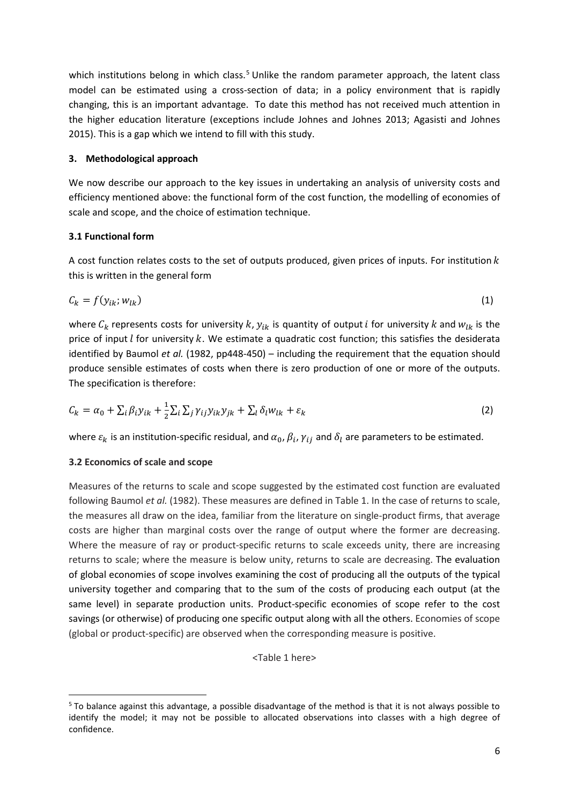which institutions belong in which class.<sup>[5](#page-6-0)</sup> Unlike the random parameter approach, the latent class model can be estimated using a cross-section of data; in a policy environment that is rapidly changing, this is an important advantage. To date this method has not received much attention in the higher education literature (exceptions include [Johnes and Johnes 2013;](#page-23-8) [Agasisti and Johnes](#page-22-0)  [2015\)](#page-22-0). This is a gap which we intend to fill with this study.

### **3. Methodological approach**

We now describe our approach to the key issues in undertaking an analysis of university costs and efficiency mentioned above: the functional form of the cost function, the modelling of economies of scale and scope, and the choice of estimation technique.

## **3.1 Functional form**

A cost function relates costs to the set of outputs produced, given prices of inputs. For institution  $k$ this is written in the general form

$$
C_k = f(y_{ik}; w_{lk})
$$
 (1)

where  $C_k$  represents costs for university k,  $y_{ik}$  is quantity of output *i* for university k and  $w_{lk}$  is the price of input  $l$  for university  $k$ . We estimate a quadratic cost function; this satisfies the desiderata identified by Baumol *et al.* [\(1982, pp448-450\)](#page-22-9) – including the requirement that the equation should produce sensible estimates of costs when there is zero production of one or more of the outputs. The specification is therefore:

$$
C_k = \alpha_0 + \sum_i \beta_i y_{ik} + \frac{1}{2} \sum_i \sum_j \gamma_{ij} y_{ik} y_{jk} + \sum_l \delta_l w_{lk} + \varepsilon_k
$$
 (2)

where  $\varepsilon_k$  is an institution-specific residual, and  $\alpha_0$ ,  $\beta_i$ ,  $\gamma_{ij}$  and  $\delta_l$  are parameters to be estimated.

### **3.2 Economics of scale and scope**

Measures of the returns to scale and scope suggested by the estimated cost function are evaluated following [Baumol](#page-22-9) *et al.* (1982[\).](#page-22-9) These measures are defined in Table 1. In the case of returns to scale, the measures all draw on the idea, familiar from the literature on single-product firms, that average costs are higher than marginal costs over the range of output where the former are decreasing. Where the measure of ray or product-specific returns to scale exceeds unity, there are increasing returns to scale; where the measure is below unity, returns to scale are decreasing. The evaluation of global economies of scope involves examining the cost of producing all the outputs of the typical university together and comparing that to the sum of the costs of producing each output (at the same level) in separate production units. Product-specific economies of scope refer to the cost savings (or otherwise) of producing one specific output along with all the others. Economies of scope (global or product-specific) are observed when the corresponding measure is positive.

<Table 1 here>

<span id="page-6-0"></span> <sup>5</sup> To balance against this advantage, a possible disadvantage of the method is that it is not always possible to identify the model; it may not be possible to allocated observations into classes with a high degree of confidence.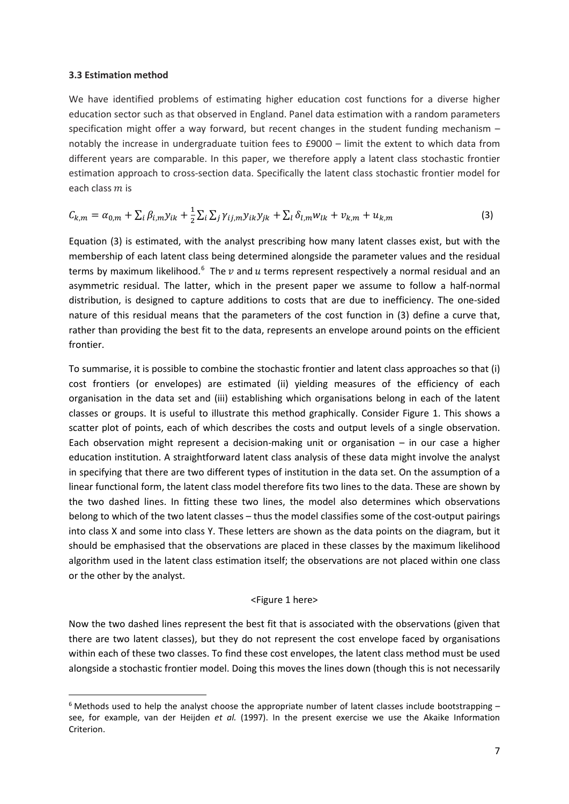### **3.3 Estimation method**

We have identified problems of estimating higher education cost functions for a diverse higher education sector such as that observed in England. Panel data estimation with a random parameters specification might offer a way forward, but recent changes in the student funding mechanism – notably the increase in undergraduate tuition fees to £9000 – limit the extent to which data from different years are comparable. In this paper, we therefore apply a latent class stochastic frontier estimation approach to cross-section data. Specifically the latent class stochastic frontier model for each class  $m$  is

$$
C_{k,m} = \alpha_{0,m} + \sum_{i} \beta_{i,m} y_{ik} + \frac{1}{2} \sum_{i} \sum_{j} \gamma_{ij,m} y_{ik} y_{jk} + \sum_{l} \delta_{l,m} w_{lk} + v_{k,m} + u_{k,m}
$$
(3)

Equation (3) is estimated, with the analyst prescribing how many latent classes exist, but with the membership of each latent class being determined alongside the parameter values and the residual terms by maximum likelihood.<sup>6</sup> The  $v$  and  $u$  terms represent respectively a normal residual and an asymmetric residual. The latter, which in the present paper we assume to follow a half-normal distribution, is designed to capture additions to costs that are due to inefficiency. The one-sided nature of this residual means that the parameters of the cost function in (3) define a curve that, rather than providing the best fit to the data, represents an envelope around points on the efficient frontier.

To summarise, it is possible to combine the stochastic frontier and latent class approaches so that (i) cost frontiers (or envelopes) are estimated (ii) yielding measures of the efficiency of each organisation in the data set and (iii) establishing which organisations belong in each of the latent classes or groups. It is useful to illustrate this method graphically. Consider Figure 1. This shows a scatter plot of points, each of which describes the costs and output levels of a single observation. Each observation might represent a decision-making unit or organisation  $-$  in our case a higher education institution. A straightforward latent class analysis of these data might involve the analyst in specifying that there are two different types of institution in the data set. On the assumption of a linear functional form, the latent class model therefore fits two lines to the data. These are shown by the two dashed lines. In fitting these two lines, the model also determines which observations belong to which of the two latent classes – thus the model classifies some of the cost-output pairings into class X and some into class Y. These letters are shown as the data points on the diagram, but it should be emphasised that the observations are placed in these classes by the maximum likelihood algorithm used in the latent class estimation itself; the observations are not placed within one class or the other by the analyst.

## <Figure 1 here>

Now the two dashed lines represent the best fit that is associated with the observations (given that there are two latent classes), but they do not represent the cost envelope faced by organisations within each of these two classes. To find these cost envelopes, the latent class method must be used alongside a stochastic frontier model. Doing this moves the lines down (though this is not necessarily

<span id="page-7-0"></span> $6$  Methods used to help the analyst choose the appropriate number of latent classes include bootstrapping  $$ see, for example, [van der Heijden](#page-23-19) *et al.* (1997). In the present exercise we use the Akaike Information Criterion.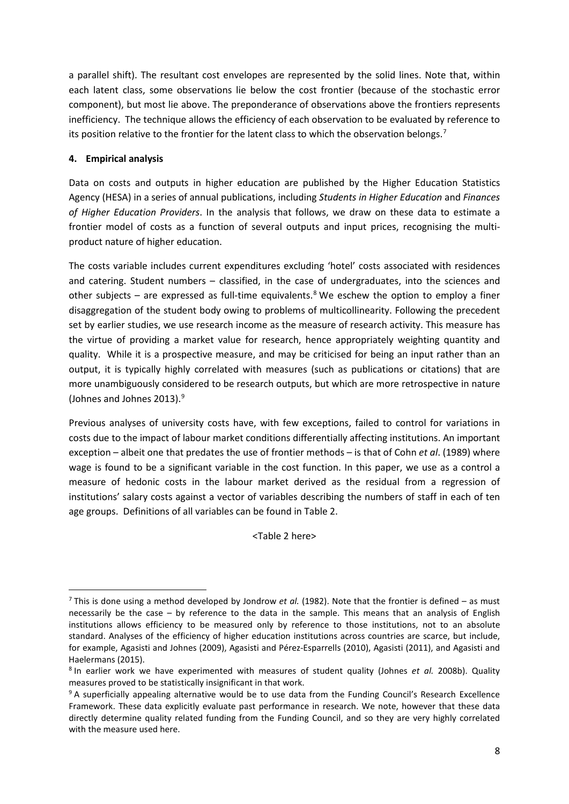a parallel shift). The resultant cost envelopes are represented by the solid lines. Note that, within each latent class, some observations lie below the cost frontier (because of the stochastic error component), but most lie above. The preponderance of observations above the frontiers represents inefficiency. The technique allows the efficiency of each observation to be evaluated by reference to its position relative to the frontier for the latent class to which the observation belongs.<sup>[7](#page-8-0)</sup>

# **4. Empirical analysis**

Data on costs and outputs in higher education are published by the Higher Education Statistics Agency (HESA) in a series of annual publications, including *Students in Higher Education* and *Finances of Higher Education Providers*. In the analysis that follows, we draw on these data to estimate a frontier model of costs as a function of several outputs and input prices, recognising the multiproduct nature of higher education.

The costs variable includes current expenditures excluding 'hotel' costs associated with residences and catering. Student numbers – classified, in the case of undergraduates, into the sciences and other subjects – are expressed as full-time equivalents.<sup>[8](#page-8-1)</sup> We eschew the option to employ a finer disaggregation of the student body owing to problems of multicollinearity. Following the precedent set by earlier studies, we use research income as the measure of research activity. This measure has the virtue of providing a market value for research, hence appropriately weighting quantity and quality. While it is a prospective measure, and may be criticised for being an input rather than an output, it is typically highly correlated with measures (such as publications or citations) that are more unambiguously considered to be research outputs, but which are more retrospective in nature [\(Johnes and Johnes 2013\)](#page-23-8). [9](#page-8-2)

Previous analyses of university costs have, with few exceptions, failed to control for variations in costs due to the impact of labour market conditions differentially affecting institutions. An important exception – albeit one that predates the use of frontier methods – is that of Cohn *et al*. (1989) where wage is found to be a significant variable in the cost function. In this paper, we use as a control a measure of hedonic costs in the labour market derived as the residual from a regression of institutions' salary costs against a vector of variables describing the numbers of staff in each of ten age groups. Definitions of all variables can be found in Table 2.

<Table 2 here>

<span id="page-8-0"></span> <sup>7</sup> This is done using a method developed by [Jondrow](#page-23-20) *et al.* (1982). Note that the frontier is defined – as must necessarily be the case – by reference to the data in the sample. This means that an analysis of English institutions allows efficiency to be measured only by reference to those institutions, not to an absolute standard. Analyses of the efficiency of higher education institutions across countries are scarce, but include, for example, [Agasisti and Johnes \(2009\),](#page-22-17) [Agasisti and Pérez-Esparrells \(2010\),](#page-22-19) [Agasisti \(2011\),](#page-22-20) and [Agasisti and](#page-22-21)  Haelermans (2015).

<span id="page-8-1"></span><sup>8</sup> In earlier work we have experimented with measures of student quality [\(Johnes](#page-23-12) *et al.* 2008b). Quality measures proved to be statistically insignificant in that work.

<span id="page-8-2"></span><sup>&</sup>lt;sup>9</sup> A superficially appealing alternative would be to use data from the Funding Council's Research Excellence Framework. These data explicitly evaluate past performance in research. We note, however that these data directly determine quality related funding from the Funding Council, and so they are very highly correlated with the measure used here.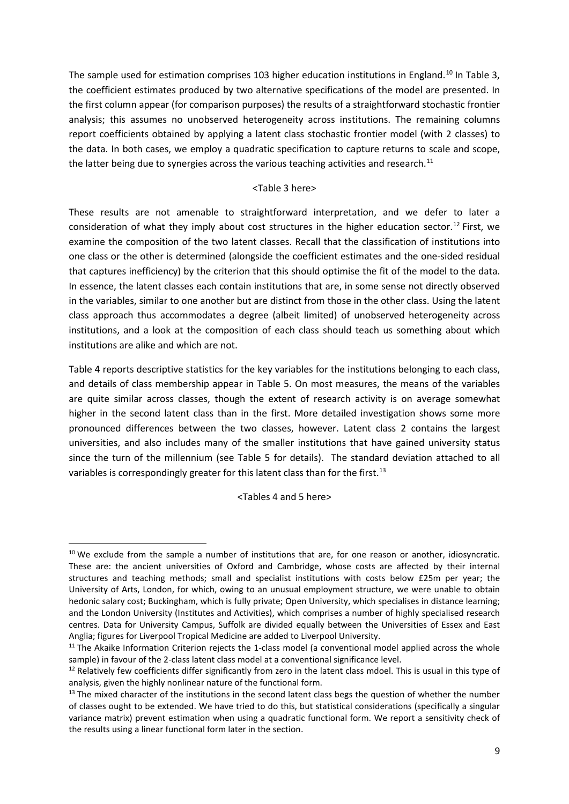The sample used for estimation comprises [10](#page-9-0)3 higher education institutions in England.<sup>10</sup> In Table 3, the coefficient estimates produced by two alternative specifications of the model are presented. In the first column appear (for comparison purposes) the results of a straightforward stochastic frontier analysis; this assumes no unobserved heterogeneity across institutions. The remaining columns report coefficients obtained by applying a latent class stochastic frontier model (with 2 classes) to the data. In both cases, we employ a quadratic specification to capture returns to scale and scope, the latter being due to synergies across the various teaching activities and research.<sup>[11](#page-9-1)</sup>

## <Table 3 here>

These results are not amenable to straightforward interpretation, and we defer to later a consideration of what they imply about cost structures in the higher education sector.<sup>[12](#page-9-2)</sup> First, we examine the composition of the two latent classes. Recall that the classification of institutions into one class or the other is determined (alongside the coefficient estimates and the one-sided residual that captures inefficiency) by the criterion that this should optimise the fit of the model to the data. In essence, the latent classes each contain institutions that are, in some sense not directly observed in the variables, similar to one another but are distinct from those in the other class. Using the latent class approach thus accommodates a degree (albeit limited) of unobserved heterogeneity across institutions, and a look at the composition of each class should teach us something about which institutions are alike and which are not.

Table 4 reports descriptive statistics for the key variables for the institutions belonging to each class, and details of class membership appear in Table 5. On most measures, the means of the variables are quite similar across classes, though the extent of research activity is on average somewhat higher in the second latent class than in the first. More detailed investigation shows some more pronounced differences between the two classes, however. Latent class 2 contains the largest universities, and also includes many of the smaller institutions that have gained university status since the turn of the millennium (see Table 5 for details). The standard deviation attached to all variables is correspondingly greater for this latent class than for the first.<sup>[13](#page-9-3)</sup>

<Tables 4 and 5 here>

<span id="page-9-0"></span> $10$  We exclude from the sample a number of institutions that are, for one reason or another, idiosyncratic. These are: the ancient universities of Oxford and Cambridge, whose costs are affected by their internal structures and teaching methods; small and specialist institutions with costs below £25m per year; the University of Arts, London, for which, owing to an unusual employment structure, we were unable to obtain hedonic salary cost; Buckingham, which is fully private; Open University, which specialises in distance learning; and the London University (Institutes and Activities), which comprises a number of highly specialised research centres. Data for University Campus, Suffolk are divided equally between the Universities of Essex and East Anglia; figures for Liverpool Tropical Medicine are added to Liverpool University.<br><sup>11</sup> The Akaike Information Criterion rejects the 1-class model (a conventional model applied across the whole

<span id="page-9-1"></span>sample) in favour of the 2-class latent class model at a conventional significance level.

<span id="page-9-2"></span><sup>&</sup>lt;sup>12</sup> Relatively few coefficients differ significantly from zero in the latent class mdoel. This is usual in this type of analysis, given the highly nonlinear nature of the functional form.

<span id="page-9-3"></span> $13$  The mixed character of the institutions in the second latent class begs the question of whether the number of classes ought to be extended. We have tried to do this, but statistical considerations (specifically a singular variance matrix) prevent estimation when using a quadratic functional form. We report a sensitivity check of the results using a linear functional form later in the section.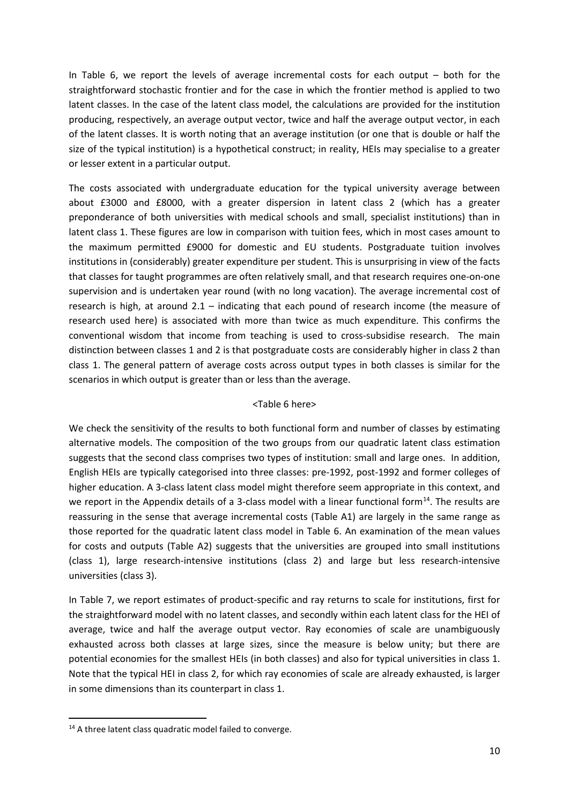In Table 6, we report the levels of average incremental costs for each output – both for the straightforward stochastic frontier and for the case in which the frontier method is applied to two latent classes. In the case of the latent class model, the calculations are provided for the institution producing, respectively, an average output vector, twice and half the average output vector, in each of the latent classes. It is worth noting that an average institution (or one that is double or half the size of the typical institution) is a hypothetical construct; in reality, HEIs may specialise to a greater or lesser extent in a particular output.

The costs associated with undergraduate education for the typical university average between about £3000 and £8000, with a greater dispersion in latent class 2 (which has a greater preponderance of both universities with medical schools and small, specialist institutions) than in latent class 1. These figures are low in comparison with tuition fees, which in most cases amount to the maximum permitted £9000 for domestic and EU students. Postgraduate tuition involves institutions in (considerably) greater expenditure per student. This is unsurprising in view of the facts that classes for taught programmes are often relatively small, and that research requires one-on-one supervision and is undertaken year round (with no long vacation). The average incremental cost of research is high, at around 2.1 – indicating that each pound of research income (the measure of research used here) is associated with more than twice as much expenditure. This confirms the conventional wisdom that income from teaching is used to cross-subsidise research. The main distinction between classes 1 and 2 is that postgraduate costs are considerably higher in class 2 than class 1. The general pattern of average costs across output types in both classes is similar for the scenarios in which output is greater than or less than the average.

## <Table 6 here>

We check the sensitivity of the results to both functional form and number of classes by estimating alternative models. The composition of the two groups from our quadratic latent class estimation suggests that the second class comprises two types of institution: small and large ones. In addition, English HEIs are typically categorised into three classes: pre-1992, post-1992 and former colleges of higher education. A 3-class latent class model might therefore seem appropriate in this context, and we report in the Appendix details of a 3-class model with a linear functional form<sup>14</sup>. The results are reassuring in the sense that average incremental costs (Table A1) are largely in the same range as those reported for the quadratic latent class model in Table 6. An examination of the mean values for costs and outputs (Table A2) suggests that the universities are grouped into small institutions (class 1), large research-intensive institutions (class 2) and large but less research-intensive universities (class 3).

In Table 7, we report estimates of product-specific and ray returns to scale for institutions, first for the straightforward model with no latent classes, and secondly within each latent class for the HEI of average, twice and half the average output vector. Ray economies of scale are unambiguously exhausted across both classes at large sizes, since the measure is below unity; but there are potential economies for the smallest HEIs (in both classes) and also for typical universities in class 1. Note that the typical HEI in class 2, for which ray economies of scale are already exhausted, is larger in some dimensions than its counterpart in class 1.

<span id="page-10-0"></span> $14$  A three latent class quadratic model failed to converge.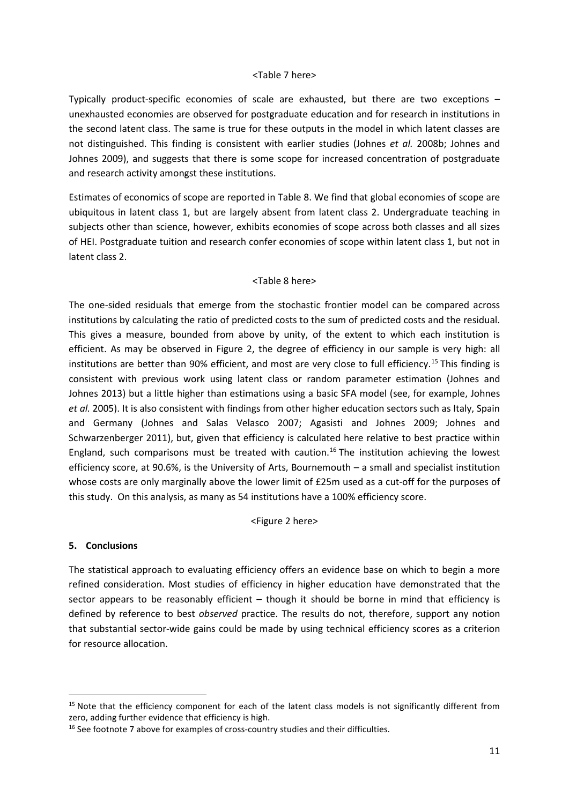### <Table 7 here>

Typically product-specific economies of scale are exhausted, but there are two exceptions – unexhausted economies are observed for postgraduate education and for research in institutions in the second latent class. The same is true for these outputs in the model in which latent classes are not distinguished. This finding is consistent with earlier studies [\(Johnes](#page-23-12) *et al.* 2008b; [Johnes and](#page-23-13)  [Johnes 2009\)](#page-23-13), and suggests that there is some scope for increased concentration of postgraduate and research activity amongst these institutions.

Estimates of economics of scope are reported in Table 8. We find that global economies of scope are ubiquitous in latent class 1, but are largely absent from latent class 2. Undergraduate teaching in subjects other than science, however, exhibits economies of scope across both classes and all sizes of HEI. Postgraduate tuition and research confer economies of scope within latent class 1, but not in latent class 2.

### <Table 8 here>

The one-sided residuals that emerge from the stochastic frontier model can be compared across institutions by calculating the ratio of predicted costs to the sum of predicted costs and the residual. This gives a measure, bounded from above by unity, of the extent to which each institution is efficient. As may be observed in Figure 2, the degree of efficiency in our sample is very high: all institutions are better than 90% efficient, and most are very close to full efficiency. [15](#page-11-0) This finding is consistent with previous work using latent class or random parameter estimation [\(Johnes and](#page-23-8)  [Johnes 2013\)](#page-23-8) but a little higher than estimations using a basic SFA model [\(see, for example, Johnes](#page-23-5) *et al.* [2005\)](#page-23-5). It is also consistent with findings from other higher education sectors such as Italy, Spain and Germany [\(Johnes and Salas Velasco 2007;](#page-23-1) [Agasisti and Johnes 2009;](#page-22-17) [Johnes and](#page-23-0)  [Schwarzenberger 2011\)](#page-23-0), but, given that efficiency is calculated here relative to best practice within England, such comparisons must be treated with caution.<sup>[16](#page-11-1)</sup> The institution achieving the lowest efficiency score, at 90.6%, is the University of Arts, Bournemouth – a small and specialist institution whose costs are only marginally above the lower limit of £25m used as a cut-off for the purposes of this study. On this analysis, as many as 54 institutions have a 100% efficiency score.

<Figure 2 here>

## **5. Conclusions**

The statistical approach to evaluating efficiency offers an evidence base on which to begin a more refined consideration. Most studies of efficiency in higher education have demonstrated that the sector appears to be reasonably efficient – though it should be borne in mind that efficiency is defined by reference to best *observed* practice. The results do not, therefore, support any notion that substantial sector-wide gains could be made by using technical efficiency scores as a criterion for resource allocation.

<span id="page-11-0"></span><sup>&</sup>lt;sup>15</sup> Note that the efficiency component for each of the latent class models is not significantly different from zero, adding further evidence that efficiency is high.

<span id="page-11-1"></span> $16$  See footnote 7 above for examples of cross-country studies and their difficulties.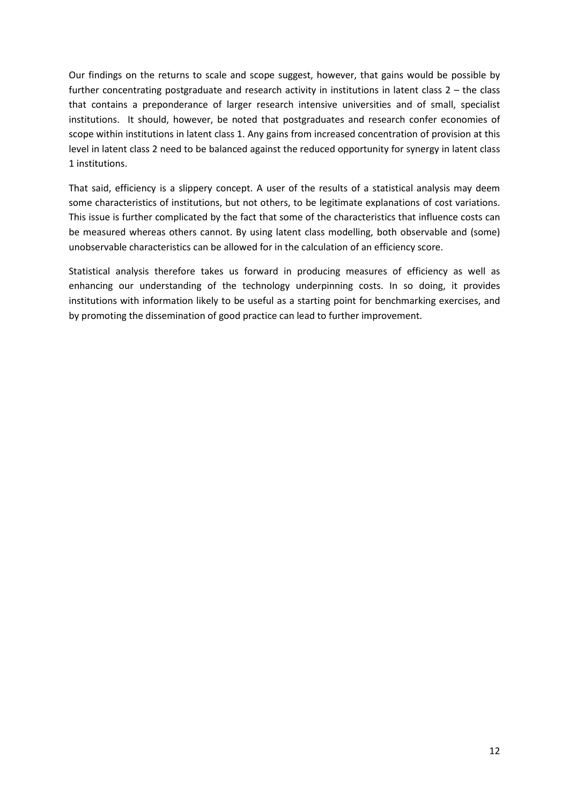Our findings on the returns to scale and scope suggest, however, that gains would be possible by further concentrating postgraduate and research activity in institutions in latent class 2 – the class that contains a preponderance of larger research intensive universities and of small, specialist institutions. It should, however, be noted that postgraduates and research confer economies of scope within institutions in latent class 1. Any gains from increased concentration of provision at this level in latent class 2 need to be balanced against the reduced opportunity for synergy in latent class 1 institutions.

That said, efficiency is a slippery concept. A user of the results of a statistical analysis may deem some characteristics of institutions, but not others, to be legitimate explanations of cost variations. This issue is further complicated by the fact that some of the characteristics that influence costs can be measured whereas others cannot. By using latent class modelling, both observable and (some) unobservable characteristics can be allowed for in the calculation of an efficiency score.

Statistical analysis therefore takes us forward in producing measures of efficiency as well as enhancing our understanding of the technology underpinning costs. In so doing, it provides institutions with information likely to be useful as a starting point for benchmarking exercises, and by promoting the dissemination of good practice can lead to further improvement.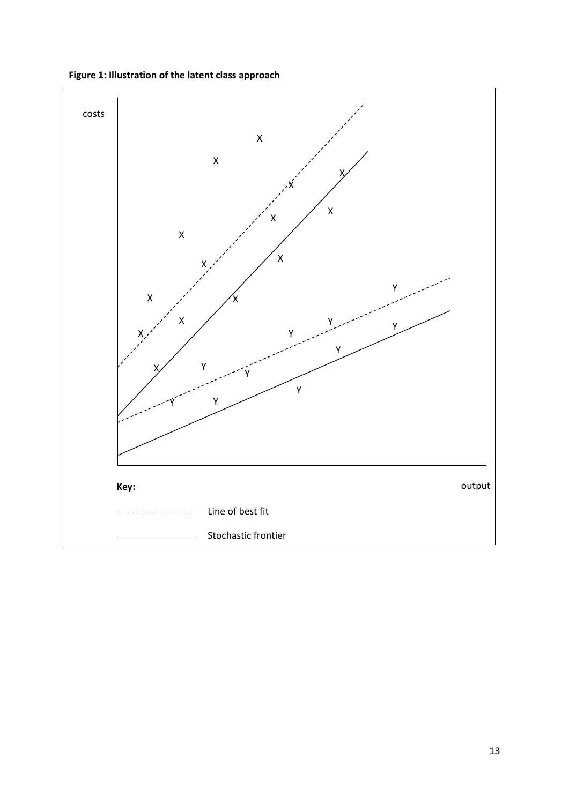

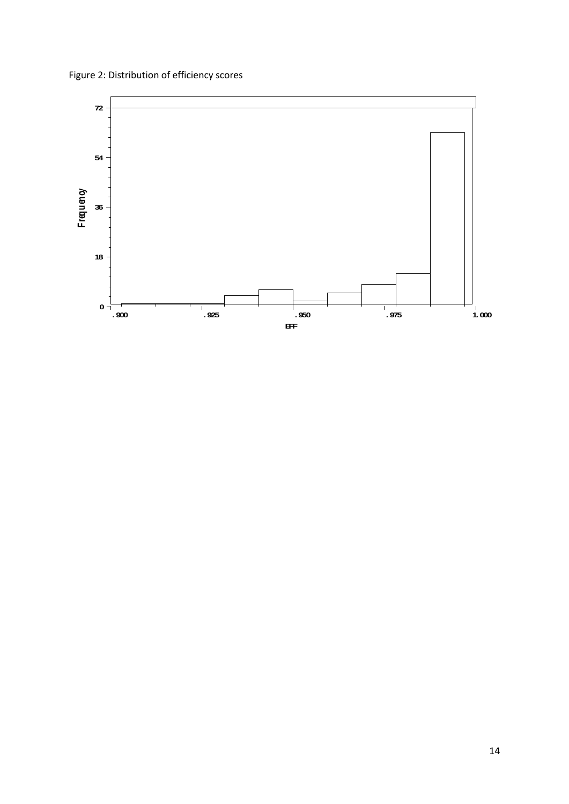Figure 2: Distribution of efficiency scores

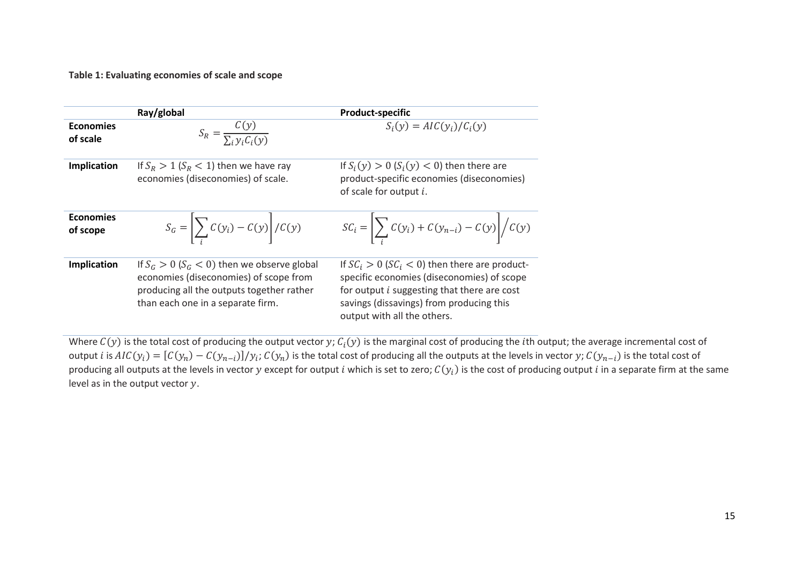## **Table 1: Evaluating economies of scale and scope**

|                              | Ray/global                                                                                                                                                                    | <b>Product-specific</b>                                                                                                                                                                                                             |
|------------------------------|-------------------------------------------------------------------------------------------------------------------------------------------------------------------------------|-------------------------------------------------------------------------------------------------------------------------------------------------------------------------------------------------------------------------------------|
| <b>Economies</b><br>of scale | $S_R = \frac{C(y)}{\sum_i y_i C_i(v)}$                                                                                                                                        | $S_i(y) = AIC(y_i)/C_i(y)$                                                                                                                                                                                                          |
| <b>Implication</b>           | If $S_R > 1$ ( $S_R < 1$ ) then we have ray<br>economies (diseconomies) of scale.                                                                                             | If $S_i(y) > 0$ ( $S_i(y) < 0$ ) then there are<br>product-specific economies (diseconomies)<br>of scale for output i.                                                                                                              |
| <b>Economies</b><br>of scope | $S_G = \left  \sum C(y_i) - C(y) \right  / C(y)$                                                                                                                              | $SC_i = \left  \sum C(y_i) + C(y_{n-i}) - C(y) \right  / C(y)$                                                                                                                                                                      |
| Implication                  | If $S_G > 0$ ( $S_G < 0$ ) then we observe global<br>economies (diseconomies) of scope from<br>producing all the outputs together rather<br>than each one in a separate firm. | If $SC_i > 0$ ( $SC_i < 0$ ) then there are product-<br>specific economies (diseconomies) of scope<br>for output <i>i</i> suggesting that there are cost<br>savings (dissavings) from producing this<br>output with all the others. |

Where  $C(y)$  is the total cost of producing the output vector y;  $C_i(y)$  is the marginal cost of producing the *i*th output; the average incremental cost of output *i* is  $AIC(y_i) = [C(y_n) - C(y_{n-i})]/y_i$ ;  $C(y_n)$  is the total cost of producing all the outputs at the levels in vector y;  $C(y_{n-i})$  is the total cost of producing all outputs at the levels in vector y except for output i which is set to zero;  $C(y_i)$  is the cost of producing output i in a separate firm at the same level as in the output vector  $y$ .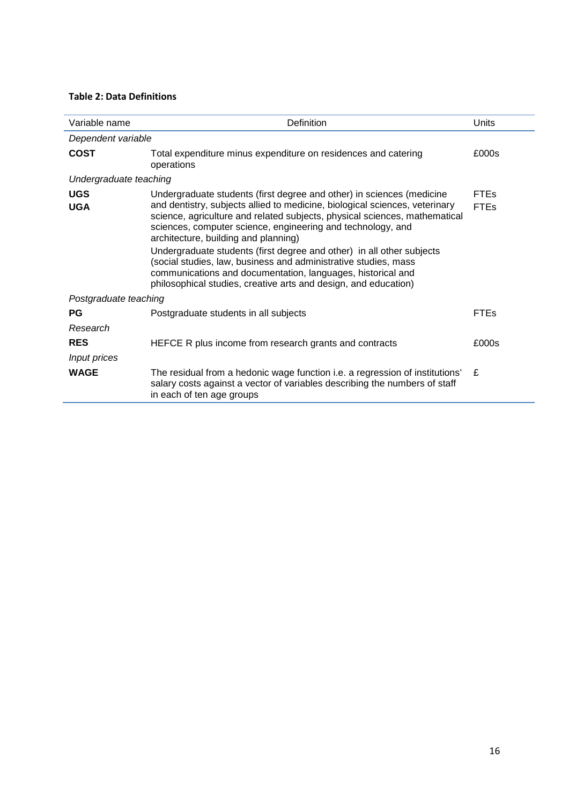## **Table 2: Data Definitions**

| Variable name            | Definition                                                                                                                                                                                                                                                                                                                                                                                                                                                                                                                                                                                                              | Units                      |  |  |  |  |
|--------------------------|-------------------------------------------------------------------------------------------------------------------------------------------------------------------------------------------------------------------------------------------------------------------------------------------------------------------------------------------------------------------------------------------------------------------------------------------------------------------------------------------------------------------------------------------------------------------------------------------------------------------------|----------------------------|--|--|--|--|
| Dependent variable       |                                                                                                                                                                                                                                                                                                                                                                                                                                                                                                                                                                                                                         |                            |  |  |  |  |
| <b>COST</b>              | Total expenditure minus expenditure on residences and catering<br>operations                                                                                                                                                                                                                                                                                                                                                                                                                                                                                                                                            |                            |  |  |  |  |
| Undergraduate teaching   |                                                                                                                                                                                                                                                                                                                                                                                                                                                                                                                                                                                                                         |                            |  |  |  |  |
| <b>UGS</b><br><b>UGA</b> | Undergraduate students (first degree and other) in sciences (medicine<br>and dentistry, subjects allied to medicine, biological sciences, veterinary<br>science, agriculture and related subjects, physical sciences, mathematical<br>sciences, computer science, engineering and technology, and<br>architecture, building and planning)<br>Undergraduate students (first degree and other) in all other subjects<br>(social studies, law, business and administrative studies, mass<br>communications and documentation, languages, historical and<br>philosophical studies, creative arts and design, and education) | <b>FTEs</b><br><b>FTEs</b> |  |  |  |  |
| Postgraduate teaching    |                                                                                                                                                                                                                                                                                                                                                                                                                                                                                                                                                                                                                         |                            |  |  |  |  |
| <b>PG</b>                | Postgraduate students in all subjects                                                                                                                                                                                                                                                                                                                                                                                                                                                                                                                                                                                   | <b>FTEs</b>                |  |  |  |  |
| Research                 |                                                                                                                                                                                                                                                                                                                                                                                                                                                                                                                                                                                                                         |                            |  |  |  |  |
| <b>RES</b>               | HEFCE R plus income from research grants and contracts                                                                                                                                                                                                                                                                                                                                                                                                                                                                                                                                                                  | £000s                      |  |  |  |  |
| Input prices             |                                                                                                                                                                                                                                                                                                                                                                                                                                                                                                                                                                                                                         |                            |  |  |  |  |
| <b>WAGE</b>              | The residual from a hedonic wage function i.e. a regression of institutions'<br>salary costs against a vector of variables describing the numbers of staff<br>in each of ten age groups                                                                                                                                                                                                                                                                                                                                                                                                                                 | £                          |  |  |  |  |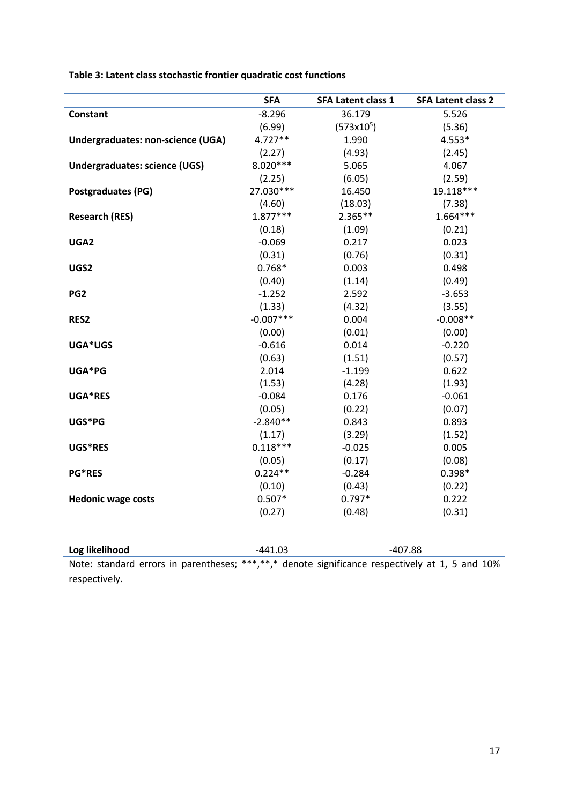**Table 3: Latent class stochastic frontier quadratic cost functions**

|                                      | <b>SFA</b>  | <b>SFA Latent class 1</b> | <b>SFA Latent class 2</b> |
|--------------------------------------|-------------|---------------------------|---------------------------|
| <b>Constant</b>                      | $-8.296$    | 36.179                    | 5.526                     |
|                                      | (6.99)      | (573x10 <sup>5</sup> )    | (5.36)                    |
| Undergraduates: non-science (UGA)    | $4.727**$   | 1.990                     | 4.553*                    |
|                                      | (2.27)      | (4.93)                    | (2.45)                    |
| <b>Undergraduates: science (UGS)</b> | 8.020 ***   | 5.065                     | 4.067                     |
|                                      | (2.25)      | (6.05)                    | (2.59)                    |
| Postgraduates (PG)                   | 27.030***   | 16.450                    | 19.118***                 |
|                                      | (4.60)      | (18.03)                   | (7.38)                    |
| <b>Research (RES)</b>                | $1.877***$  | $2.365**$                 | $1.664***$                |
|                                      | (0.18)      | (1.09)                    | (0.21)                    |
| UGA2                                 | $-0.069$    | 0.217                     | 0.023                     |
|                                      | (0.31)      | (0.76)                    | (0.31)                    |
| UGS2                                 | $0.768*$    | 0.003                     | 0.498                     |
|                                      | (0.40)      | (1.14)                    | (0.49)                    |
| PG <sub>2</sub>                      | $-1.252$    | 2.592                     | $-3.653$                  |
|                                      | (1.33)      | (4.32)                    | (3.55)                    |
| RES2                                 | $-0.007***$ | 0.004                     | $-0.008**$                |
|                                      | (0.00)      | (0.01)                    | (0.00)                    |
| UGA*UGS                              | $-0.616$    | 0.014                     | $-0.220$                  |
|                                      | (0.63)      | (1.51)                    | (0.57)                    |
| UGA*PG                               | 2.014       | $-1.199$                  | 0.622                     |
|                                      | (1.53)      | (4.28)                    | (1.93)                    |
| UGA*RES                              | $-0.084$    | 0.176                     | $-0.061$                  |
|                                      | (0.05)      | (0.22)                    | (0.07)                    |
| UGS*PG                               | $-2.840**$  | 0.843                     | 0.893                     |
|                                      | (1.17)      | (3.29)                    | (1.52)                    |
| UGS*RES                              | $0.118***$  | $-0.025$                  | 0.005                     |
|                                      | (0.05)      | (0.17)                    | (0.08)                    |
| <b>PG*RES</b>                        | $0.224**$   | $-0.284$                  | $0.398*$                  |
|                                      | (0.10)      | (0.43)                    | (0.22)                    |
| <b>Hedonic wage costs</b>            | $0.507*$    | $0.797*$                  | 0.222                     |
|                                      | (0.27)      | (0.48)                    | (0.31)                    |
| Log likelihood                       | $-441.03$   |                           | $-407.88$                 |

Note: standard errors in parentheses; \*\*\*,\*\*,\* denote significance respectively at 1, 5 and 10% respectively.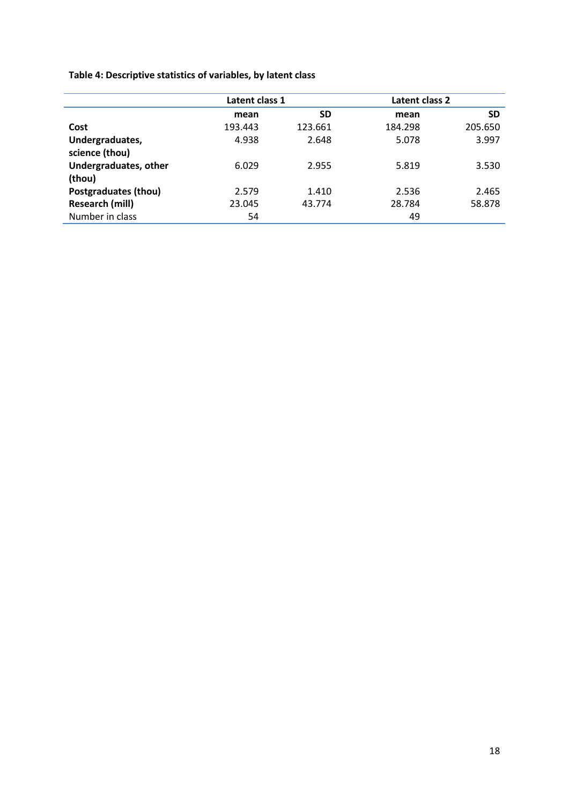**Table 4: Descriptive statistics of variables, by latent class**

|                        | Latent class 1 |           | Latent class 2 |           |
|------------------------|----------------|-----------|----------------|-----------|
|                        | mean           | <b>SD</b> | mean           | <b>SD</b> |
| Cost                   | 193.443        | 123.661   | 184.298        | 205.650   |
| Undergraduates,        | 4.938          | 2.648     | 5.078          | 3.997     |
| science (thou)         |                |           |                |           |
| Undergraduates, other  | 6.029          | 2.955     | 5.819          | 3.530     |
| (thou)                 |                |           |                |           |
| Postgraduates (thou)   | 2.579          | 1.410     | 2.536          | 2.465     |
| <b>Research (mill)</b> | 23.045         | 43.774    | 28.784         | 58.878    |
| Number in class        | 54             |           | 49             |           |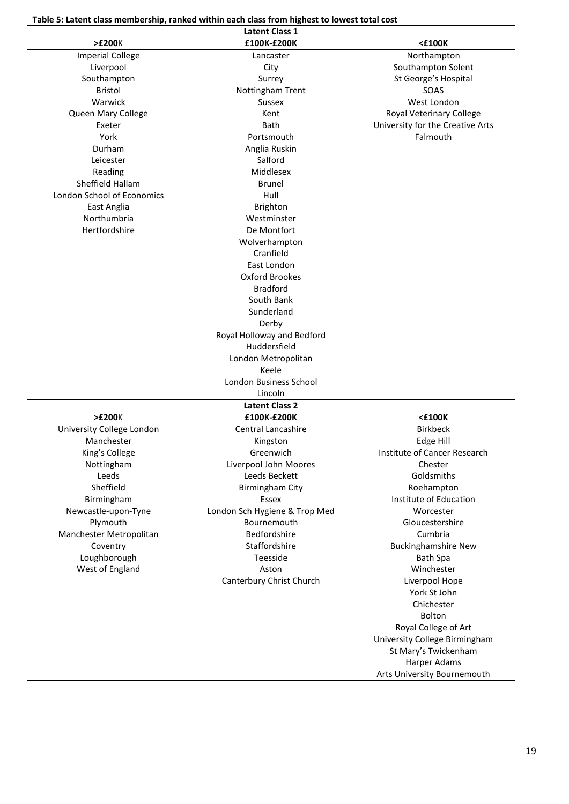#### **Table 5: Latent class membership, ranked within each class from highest to lowest total cost**

|                            | <b>Latent Class 1</b>         |                                  |
|----------------------------|-------------------------------|----------------------------------|
| >E200K                     | £100K-£200K                   | <£100K                           |
| <b>Imperial College</b>    | Lancaster                     | Northampton                      |
| Liverpool                  | City                          | Southampton Solent               |
| Southampton                | Surrey                        | St George's Hospital             |
| <b>Bristol</b>             | Nottingham Trent              | SOAS                             |
| Warwick                    | <b>Sussex</b>                 | West London                      |
| Queen Mary College         | Kent                          | Royal Veterinary College         |
| Exeter                     | <b>Bath</b>                   | University for the Creative Arts |
| York                       | Portsmouth                    | Falmouth                         |
| Durham                     | Anglia Ruskin                 |                                  |
| Leicester                  | Salford                       |                                  |
| Reading                    | Middlesex                     |                                  |
| Sheffield Hallam           | <b>Brunel</b>                 |                                  |
| London School of Economics | Hull                          |                                  |
| East Anglia                | Brighton                      |                                  |
| Northumbria                |                               |                                  |
|                            | Westminster                   |                                  |
| Hertfordshire              | De Montfort                   |                                  |
|                            | Wolverhampton                 |                                  |
|                            | Cranfield                     |                                  |
|                            | East London                   |                                  |
|                            | Oxford Brookes                |                                  |
|                            | <b>Bradford</b>               |                                  |
|                            | South Bank                    |                                  |
|                            | Sunderland                    |                                  |
|                            | Derby                         |                                  |
|                            | Royal Holloway and Bedford    |                                  |
|                            | Huddersfield                  |                                  |
|                            | London Metropolitan           |                                  |
|                            | Keele                         |                                  |
|                            | London Business School        |                                  |
|                            | Lincoln                       |                                  |
|                            | <b>Latent Class 2</b>         |                                  |
| >E200K                     | £100K-£200K                   | <£100K                           |
| University College London  | Central Lancashire            | <b>Birkbeck</b>                  |
| Manchester                 | Kingston                      | Edge Hill                        |
| King's College             | Greenwich                     | Institute of Cancer Research     |
|                            | Liverpool John Moores         | Chester                          |
| Nottingham                 | Leeds Beckett                 |                                  |
| Leeds                      |                               | Goldsmiths                       |
| Sheffield                  | <b>Birmingham City</b>        | Roehampton                       |
| Birmingham                 | Essex                         | Institute of Education           |
| Newcastle-upon-Tyne        | London Sch Hygiene & Trop Med | Worcester                        |
| Plymouth                   | Bournemouth                   | Gloucestershire                  |
| Manchester Metropolitan    | Bedfordshire                  | Cumbria                          |
| Coventry                   | Staffordshire                 | <b>Buckinghamshire New</b>       |
| Loughborough               | Teesside                      | <b>Bath Spa</b>                  |
| West of England            | Aston                         | Winchester                       |
|                            | Canterbury Christ Church      | Liverpool Hope                   |
|                            |                               | York St John                     |
|                            |                               | Chichester                       |
|                            |                               | Bolton                           |
|                            |                               |                                  |
|                            |                               | Royal College of Art             |
|                            |                               | University College Birmingham    |
|                            |                               | St Mary's Twickenham             |
|                            |                               | Harper Adams                     |
|                            |                               | Arts University Bournemouth      |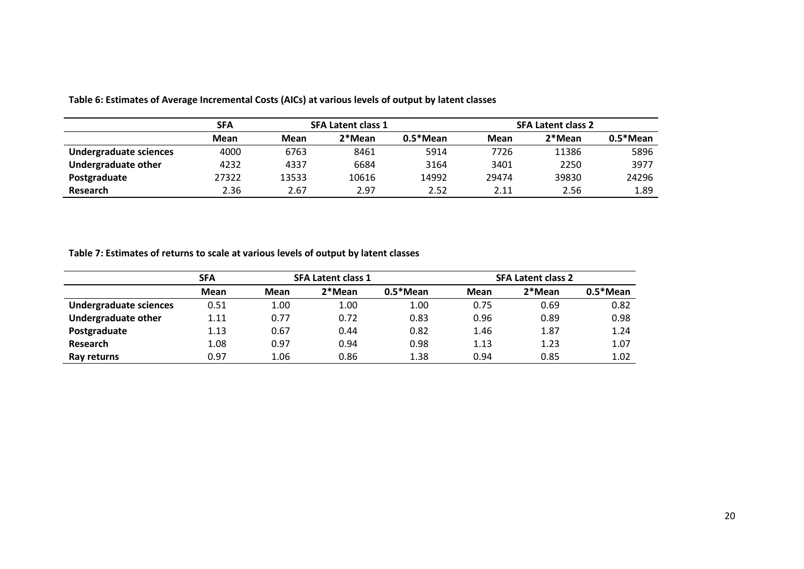|                            | <b>SFA</b> | <b>SFA Latent class 1</b> |        |             |       | <b>SFA Latent class 2</b> |             |
|----------------------------|------------|---------------------------|--------|-------------|-------|---------------------------|-------------|
|                            | Mean       | Mean                      | 2*Mean | $0.5*$ Mean | Mean  | 2*Mean                    | $0.5*$ Mean |
| Undergraduate sciences     | 4000       | 6763                      | 8461   | 5914        | 7726  | 11386                     | 5896        |
| <b>Undergraduate other</b> | 4232       | 4337                      | 6684   | 3164        | 3401  | 2250                      | 3977        |
| Postgraduate               | 27322      | 13533                     | 10616  | 14992       | 29474 | 39830                     | 24296       |
| Research                   | 2.36       | 2.67                      | 2.97   | 2.52        | 2.11  | 2.56                      | 1.89        |

**Table 6: Estimates of Average Incremental Costs (AICs) at various levels of output by latent classes**

**Table 7: Estimates of returns to scale at various levels of output by latent classes**

|                            | <b>SFA</b>  | <b>SFA Latent class 1</b> |           |             | <b>SFA Latent class 2</b> |        |             |
|----------------------------|-------------|---------------------------|-----------|-------------|---------------------------|--------|-------------|
|                            | <b>Mean</b> | <b>Mean</b>               | $2*$ Mean | $0.5*$ Mean | Mean                      | 2*Mean | $0.5*$ Mean |
| Undergraduate sciences     | 0.51        | 1.00                      | 1.00      | 1.00        | 0.75                      | 0.69   | 0.82        |
| <b>Undergraduate other</b> | 1.11        | 0.77                      | 0.72      | 0.83        | 0.96                      | 0.89   | 0.98        |
| Postgraduate               | 1.13        | 0.67                      | 0.44      | 0.82        | 1.46                      | 1.87   | 1.24        |
| Research                   | 1.08        | 0.97                      | 0.94      | 0.98        | 1.13                      | 1.23   | 1.07        |
| Ray returns                | 0.97        | 1.06                      | 0.86      | 1.38        | 0.94                      | 0.85   | 1.02        |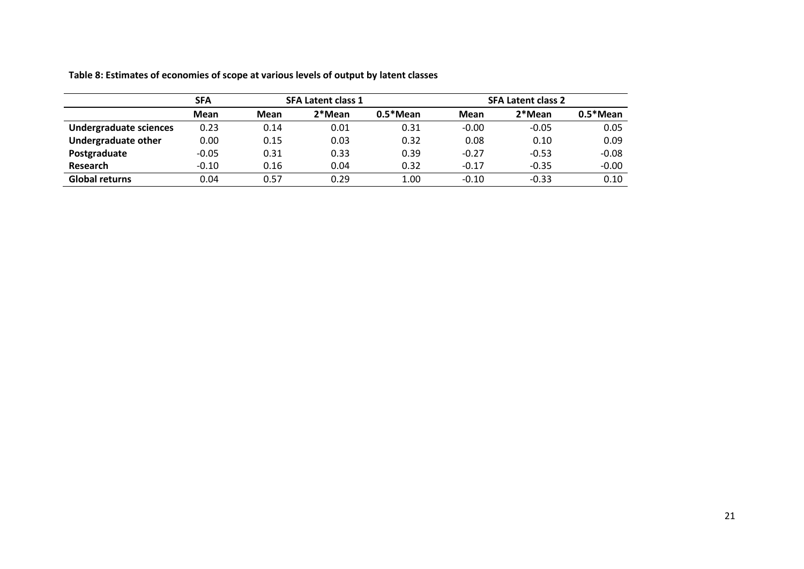|                               | <b>SFA</b>  |      | <b>SFA Latent class 1</b> |             |             | <b>SFA Latent class 2</b> |             |
|-------------------------------|-------------|------|---------------------------|-------------|-------------|---------------------------|-------------|
|                               | <b>Mean</b> | Mean | 2*Mean                    | $0.5*$ Mean | <b>Mean</b> | 2*Mean                    | $0.5*$ Mean |
| <b>Undergraduate sciences</b> | 0.23        | 0.14 | 0.01                      | 0.31        | $-0.00$     | $-0.05$                   | 0.05        |
| <b>Undergraduate other</b>    | 0.00        | 0.15 | 0.03                      | 0.32        | 0.08        | 0.10                      | 0.09        |
| Postgraduate                  | $-0.05$     | 0.31 | 0.33                      | 0.39        | $-0.27$     | $-0.53$                   | $-0.08$     |
| <b>Research</b>               | $-0.10$     | 0.16 | 0.04                      | 0.32        | $-0.17$     | $-0.35$                   | $-0.00$     |
| <b>Global returns</b>         | 0.04        | 0.57 | 0.29                      | 1.00        | $-0.10$     | $-0.33$                   | 0.10        |

**Table 8: Estimates of economies of scope at various levels of output by latent classes**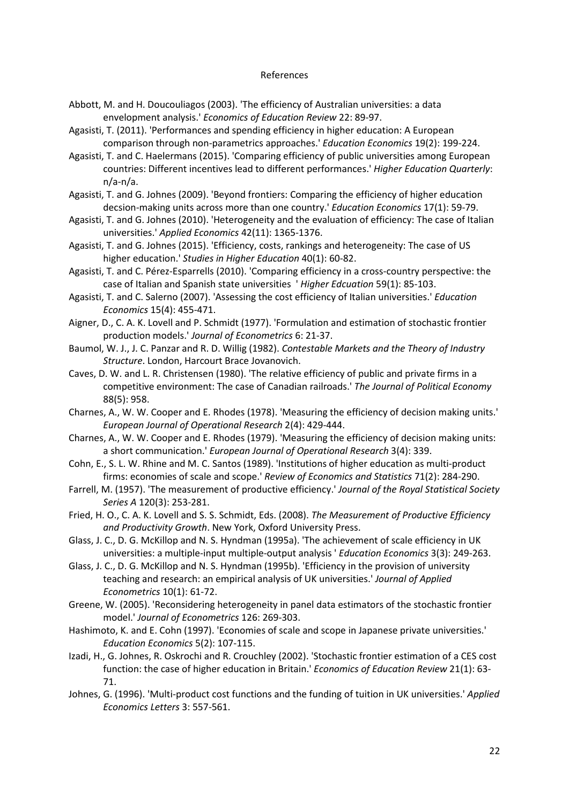### References

- <span id="page-22-16"></span>Abbott, M. and H. Doucouliagos (2003). 'The efficiency of Australian universities: a data envelopment analysis.' *Economics of Education Review* 22: 89-97.
- <span id="page-22-20"></span>Agasisti, T. (2011). 'Performances and spending efficiency in higher education: A European comparison through non-parametrics approaches.' *Education Economics* 19(2): 199-224.
- <span id="page-22-21"></span>Agasisti, T. and C. Haelermans (2015). 'Comparing efficiency of public universities among European countries: Different incentives lead to different performances.' *Higher Education Quarterly*: n/a-n/a.
- <span id="page-22-17"></span>Agasisti, T. and G. Johnes (2009). 'Beyond frontiers: Comparing the efficiency of higher education decsion-making units across more than one country.' *Education Economics* 17(1): 59-79.
- <span id="page-22-1"></span>Agasisti, T. and G. Johnes (2010). 'Heterogeneity and the evaluation of efficiency: The case of Italian universities.' *Applied Economics* 42(11): 1365-1376.
- <span id="page-22-0"></span>Agasisti, T. and G. Johnes (2015). 'Efficiency, costs, rankings and heterogeneity: The case of US higher education.' *Studies in Higher Education* 40(1): 60-82.
- <span id="page-22-19"></span>Agasisti, T. and C. Pérez-Esparrells (2010). 'Comparing efficiency in a cross-country perspective: the case of Italian and Spanish state universities ' *Higher Edcuation* 59(1): 85-103.
- <span id="page-22-8"></span>Agasisti, T. and C. Salerno (2007). 'Assessing the cost efficiency of Italian universities.' *Education Economics* 15(4): 455-471.
- <span id="page-22-10"></span>Aigner, D., C. A. K. Lovell and P. Schmidt (1977). 'Formulation and estimation of stochastic frontier production models.' *Journal of Econometrics* 6: 21-37.
- <span id="page-22-9"></span>Baumol, W. J., J. C. Panzar and R. D. Willig (1982). *Contestable Markets and the Theory of Industry Structure*. London, Harcourt Brace Jovanovich.
- <span id="page-22-14"></span>Caves, D. W. and L. R. Christensen (1980). 'The relative efficiency of public and private firms in a competitive environment: The case of Canadian railroads.' *The Journal of Political Economy* 88(5): 958.
- <span id="page-22-11"></span>Charnes, A., W. W. Cooper and E. Rhodes (1978). 'Measuring the efficiency of decision making units.' *European Journal of Operational Research* 2(4): 429-444.
- <span id="page-22-12"></span>Charnes, A., W. W. Cooper and E. Rhodes (1979). 'Measuring the efficiency of decision making units: a short communication.' *European Journal of Operational Research* 3(4): 339.
- <span id="page-22-2"></span>Cohn, E., S. L. W. Rhine and M. C. Santos (1989). 'Institutions of higher education as multi-product firms: economies of scale and scope.' *Review of Economics and Statistics* 71(2): 284-290.
- <span id="page-22-13"></span>Farrell, M. (1957). 'The measurement of productive efficiency.' *Journal of the Royal Statistical Society Series A* 120(3): 253-281.
- <span id="page-22-15"></span>Fried, H. O., C. A. K. Lovell and S. S. Schmidt, Eds. (2008). *The Measurement of Productive Efficiency and Productivity Growth*. New York, Oxford University Press.
- <span id="page-22-3"></span>Glass, J. C., D. G. McKillop and N. S. Hyndman (1995a). 'The achievement of scale efficiency in UK universities: a multiple-input multiple-output analysis ' *Education Economics* 3(3): 249-263.
- <span id="page-22-4"></span>Glass, J. C., D. G. McKillop and N. S. Hyndman (1995b). 'Efficiency in the provision of university teaching and research: an empirical analysis of UK universities.' *Journal of Applied Econometrics* 10(1): 61-72.
- <span id="page-22-18"></span>Greene, W. (2005). 'Reconsidering heterogeneity in panel data estimators of the stochastic frontier model.' *Journal of Econometrics* 126: 269-303.
- <span id="page-22-7"></span>Hashimoto, K. and E. Cohn (1997). 'Economies of scale and scope in Japanese private universities.' *Education Economics* 5(2): 107-115.
- <span id="page-22-6"></span>Izadi, H., G. Johnes, R. Oskrochi and R. Crouchley (2002). 'Stochastic frontier estimation of a CES cost function: the case of higher education in Britain.' *Economics of Education Review* 21(1): 63- 71.
- <span id="page-22-5"></span>Johnes, G. (1996). 'Multi-product cost functions and the funding of tuition in UK universities.' *Applied Economics Letters* 3: 557-561.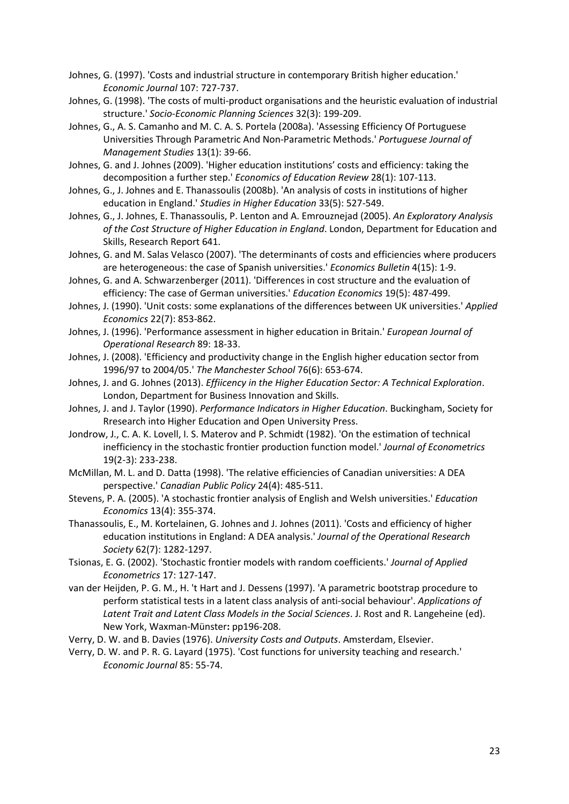- <span id="page-23-9"></span>Johnes, G. (1997). 'Costs and industrial structure in contemporary British higher education.' *Economic Journal* 107: 727-737.
- <span id="page-23-10"></span>Johnes, G. (1998). 'The costs of multi-product organisations and the heuristic evaluation of industrial structure.' *Socio-Economic Planning Sciences* 32(3): 199-209.
- <span id="page-23-14"></span>Johnes, G., A. S. Camanho and M. C. A. S. Portela (2008a). 'Assessing Efficiency Of Portuguese Universities Through Parametric And Non-Parametric Methods.' *Portuguese Journal of Management Studies* 13(1): 39-66.
- <span id="page-23-13"></span>Johnes, G. and J. Johnes (2009). 'Higher education institutions' costs and efficiency: taking the decomposition a further step.' *Economics of Education Review* 28(1): 107-113.
- <span id="page-23-12"></span>Johnes, G., J. Johnes and E. Thanassoulis (2008b). 'An analysis of costs in institutions of higher education in England.' *Studies in Higher Education* 33(5): 527-549.
- <span id="page-23-5"></span>Johnes, G., J. Johnes, E. Thanassoulis, P. Lenton and A. Emrouznejad (2005). *An Exploratory Analysis of the Cost Structure of Higher Education in England*. London, Department for Education and Skills, Research Report 641.
- <span id="page-23-1"></span>Johnes, G. and M. Salas Velasco (2007). 'The determinants of costs and efficiencies where producers are heterogeneous: the case of Spanish universities.' *Economics Bulletin* 4(15): 1-9.
- <span id="page-23-0"></span>Johnes, G. and A. Schwarzenberger (2011). 'Differences in cost structure and the evaluation of efficiency: The case of German universities.' *Education Economics* 19(5): 487-499.
- <span id="page-23-2"></span>Johnes, J. (1990). 'Unit costs: some explanations of the differences between UK universities.' *Applied Economics* 22(7): 853-862.
- <span id="page-23-4"></span>Johnes, J. (1996). 'Performance assessment in higher education in Britain.' *European Journal of Operational Research* 89: 18-33.
- <span id="page-23-6"></span>Johnes, J. (2008). 'Efficiency and productivity change in the English higher education sector from 1996/97 to 2004/05.' *The Manchester School* 76(6): 653-674.
- <span id="page-23-8"></span>Johnes, J. and G. Johnes (2013). *Effiicency in the Higher Education Sector: A Technical Exploration*. London, Department for Business Innovation and Skills.
- <span id="page-23-3"></span>Johnes, J. and J. Taylor (1990). *Performance Indicators in Higher Education*. Buckingham, Society for Rresearch into Higher Education and Open University Press.
- <span id="page-23-20"></span>Jondrow, J., C. A. K. Lovell, I. S. Materov and P. Schmidt (1982). 'On the estimation of technical inefficiency in the stochastic frontier production function model.' *Journal of Econometrics* 19(2-3): 233-238.
- <span id="page-23-17"></span>McMillan, M. L. and D. Datta (1998). 'The relative efficiencies of Canadian universities: A DEA perspective.' *Canadian Public Policy* 24(4): 485-511.
- <span id="page-23-11"></span>Stevens, P. A. (2005). 'A stochastic frontier analysis of English and Welsh universities.' *Education Economics* 13(4): 355-374.
- <span id="page-23-7"></span>Thanassoulis, E., M. Kortelainen, G. Johnes and J. Johnes (2011). 'Costs and efficiency of higher education institutions in England: A DEA analysis.' *Journal of the Operational Research Society* 62(7): 1282-1297.
- <span id="page-23-18"></span>Tsionas, E. G. (2002). 'Stochastic frontier models with random coefficients.' *Journal of Applied Econometrics* 17: 127-147.
- <span id="page-23-19"></span>van der Heijden, P. G. M., H. 't Hart and J. Dessens (1997). 'A parametric bootstrap procedure to perform statistical tests in a latent class analysis of anti-social behaviour'. *Applications of Latent Trait and Latent Class Models in the Social Sciences*. J. Rost and R. Langeheine (ed). New York, Waxman-Münster**:** pp196-208.
- <span id="page-23-16"></span>Verry, D. W. and B. Davies (1976). *University Costs and Outputs*. Amsterdam, Elsevier.
- <span id="page-23-15"></span>Verry, D. W. and P. R. G. Layard (1975). 'Cost functions for university teaching and research.' *Economic Journal* 85: 55-74.